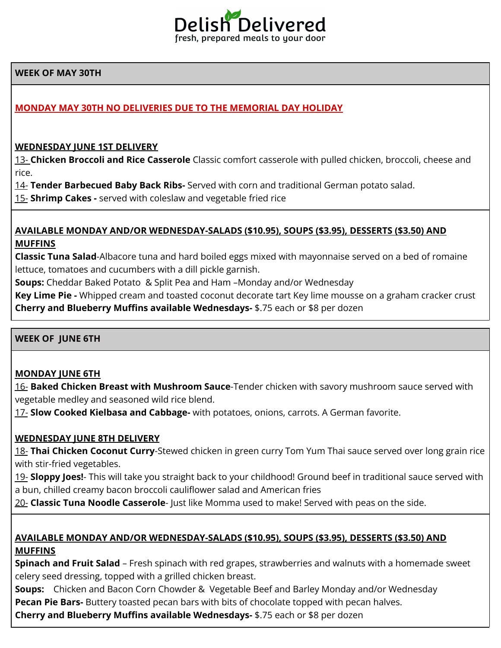

## **WEEK OF MAY 30TH**

# **MONDAY MAY 30TH NO DELIVERIES DUE TO THE MEMORIAL DAY HOLIDAY**

### **WEDNESDAY JUNE 1ST DELIVERY**

13- **Chicken Broccoli and Rice Casserole** Classic comfort casserole with pulled chicken, broccoli, cheese and rice.

14- **Tender Barbecued Baby Back Ribs-** Served with corn and traditional German potato salad.

15- **Shrimp Cakes -** served with coleslaw and vegetable fried rice

### **AVAILABLE MONDAY AND/OR WEDNESDAY-SALADS (\$10.95), SOUPS (\$3.95), DESSERTS (\$3.50) AND MUFFINS**

**Classic Tuna Salad**-Albacore tuna and hard boiled eggs mixed with mayonnaise served on a bed of romaine lettuce, tomatoes and cucumbers with a dill pickle garnish.

**Soups:** Cheddar Baked Potato & Split Pea and Ham –Monday and/or Wednesday

**Key Lime Pie -** Whipped cream and toasted coconut decorate tart Key lime mousse on a graham cracker crust **Cherry and Blueberry Muffins available Wednesdays-** \$.75 each or \$8 per dozen

### **WEEK OF JUNE 6TH**

### **MONDAY JUNE 6TH**

16- **Baked Chicken Breast with Mushroom Sauce**-Tender chicken with savory mushroom sauce served with vegetable medley and seasoned wild rice blend.

17- **Slow Cooked Kielbasa and Cabbage-** with potatoes, onions, carrots. A German favorite.

## **WEDNESDAY JUNE 8TH DELIVERY**

18- **Thai Chicken Coconut Curry**-Stewed chicken in green curry Tom Yum Thai sauce served over long grain rice with stir-fried vegetables.

19- **Sloppy Joes!**- This will take you straight back to your childhood! Ground beef in traditional sauce served with a bun, chilled creamy bacon broccoli cauliflower salad and American fries

20- **Classic Tuna Noodle Casserole**- Just like Momma used to make! Served with peas on the side.

## **AVAILABLE MONDAY AND/OR WEDNESDAY-SALADS (\$10.95), SOUPS (\$3.95), DESSERTS (\$3.50) AND MUFFINS**

**Spinach and Fruit Salad** – Fresh spinach with red grapes, strawberries and walnuts with a homemade sweet celery seed dressing, topped with a grilled chicken breast.

**Soups:** Chicken and Bacon Corn Chowder & Vegetable Beef and Barley Monday and/or Wednesday **Pecan Pie Bars-** Buttery toasted pecan bars with bits of chocolate topped with pecan halves.

**Cherry and Blueberry Muffins available Wednesdays-** \$.75 each or \$8 per dozen